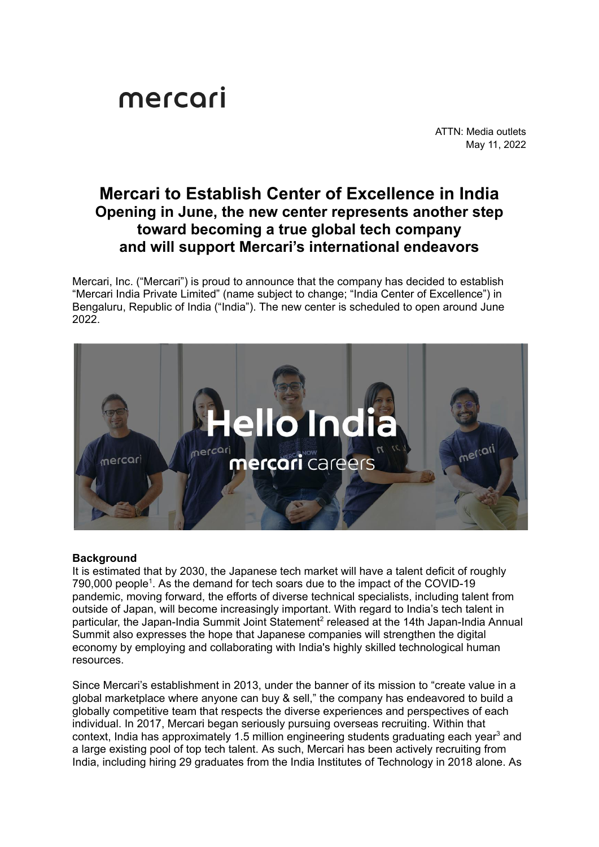# mercari

ATTN: Media outlets May 11, 2022

# **Mercari to Establish Center of Excellence in India Opening in June, the new center represents another step toward becoming a true global tech company and will support Mercari's international endeavors**

Mercari, Inc. ("Mercari") is proud to announce that the company has decided to establish "Mercari India Private Limited" (name subject to change; "India Center of Excellence") in Bengaluru, Republic of India ("India"). The new center is scheduled to open around June 2022.



## **Background**

It is estimated that by 2030, the Japanese tech market will have a talent deficit of roughly 790,000 people<sup>1</sup>. As the demand for tech soars due to the impact of the COVID-19 pandemic, moving forward, the efforts of diverse technical specialists, including talent from outside of Japan, will become increasingly important. With regard to India's tech talent in particular, the Japan-India Summit Joint Statement<sup>2</sup> released at the 14th Japan-India Annual Summit also expresses the hope that Japanese companies will strengthen the digital economy by employing and collaborating with India's highly skilled technological human resources.

Since Mercari's establishment in 2013, under the banner of its mission to "create value in a global marketplace where anyone can buy & sell," the company has endeavored to build a globally competitive team that respects the diverse experiences and perspectives of each individual. In 2017, Mercari began seriously pursuing overseas recruiting. Within that context, India has approximately 1.5 million engineering students graduating each year<sup>3</sup> and a large existing pool of top tech talent. As such, Mercari has been actively recruiting from India, including hiring 29 graduates from the India Institutes of Technology in 2018 alone. As